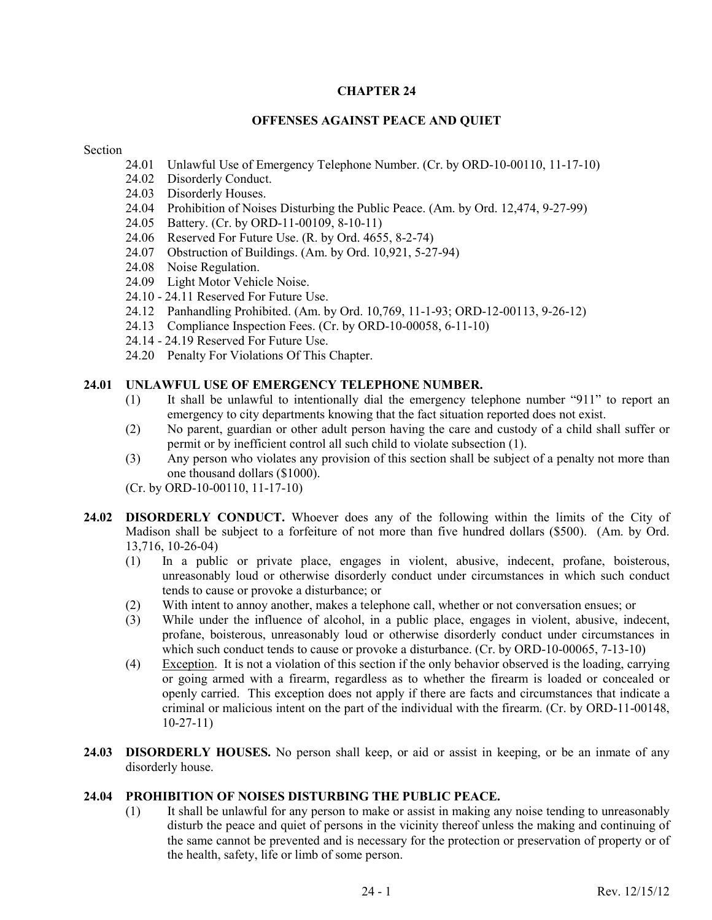### **CHAPTER 24**

#### **OFFENSES AGAINST PEACE AND QUIET**

#### Section

- 24.01 Unlawful Use of Emergency Telephone Number. (Cr. by ORD-10-00110, 11-17-10)
- 24.02 Disorderly Conduct.
- 24.03 Disorderly Houses.
- 24.04 Prohibition of Noises Disturbing the Public Peace. (Am. by Ord. 12,474, 9-27-99)
- 24.05 Battery. (Cr. by ORD-11-00109, 8-10-11)
- 24.06 Reserved For Future Use. (R. by Ord. 4655, 8-2-74)
- 24.07 Obstruction of Buildings. (Am. by Ord. 10,921, 5-27-94)
- 24.08 Noise Regulation.
- 24.09 Light Motor Vehicle Noise.
- 24.10 24.11 Reserved For Future Use.
- 24.12 Panhandling Prohibited. (Am. by Ord. 10,769, 11-1-93; ORD-12-00113, 9-26-12)
- 24.13 Compliance Inspection Fees. (Cr. by ORD-10-00058, 6-11-10)
- 24.14 24.19 Reserved For Future Use.
- 24.20 Penalty For Violations Of This Chapter.

### **24.01 UNLAWFUL USE OF EMERGENCY TELEPHONE NUMBER.**

- (1) It shall be unlawful to intentionally dial the emergency telephone number "911" to report an emergency to city departments knowing that the fact situation reported does not exist.
- (2) No parent, guardian or other adult person having the care and custody of a child shall suffer or permit or by inefficient control all such child to violate subsection (1).
- (3) Any person who violates any provision of this section shall be subject of a penalty not more than one thousand dollars (\$1000).

(Cr. by ORD-10-00110, 11-17-10)

- 24.02 DISORDERLY CONDUCT. Whoever does any of the following within the limits of the City of Madison shall be subject to a forfeiture of not more than five hundred dollars (\$500). (Am. by Ord. 13,716, 10-26-04)
	- (1) In a public or private place, engages in violent, abusive, indecent, profane, boisterous, unreasonably loud or otherwise disorderly conduct under circumstances in which such conduct tends to cause or provoke a disturbance; or
	- (2) With intent to annoy another, makes a telephone call, whether or not conversation ensues; or
	- (3) While under the influence of alcohol, in a public place, engages in violent, abusive, indecent, profane, boisterous, unreasonably loud or otherwise disorderly conduct under circumstances in which such conduct tends to cause or provoke a disturbance. (Cr. by ORD-10-00065, 7-13-10)
	- (4) Exception. It is not a violation of this section if the only behavior observed is the loading, carrying or going armed with a firearm, regardless as to whether the firearm is loaded or concealed or openly carried. This exception does not apply if there are facts and circumstances that indicate a criminal or malicious intent on the part of the individual with the firearm. (Cr. by ORD-11-00148, 10-27-11)
- **24.03 DISORDERLY HOUSES.** No person shall keep, or aid or assist in keeping, or be an inmate of any disorderly house.

#### **24.04 PROHIBITION OF NOISES DISTURBING THE PUBLIC PEACE.**

(1) It shall be unlawful for any person to make or assist in making any noise tending to unreasonably disturb the peace and quiet of persons in the vicinity thereof unless the making and continuing of the same cannot be prevented and is necessary for the protection or preservation of property or of the health, safety, life or limb of some person.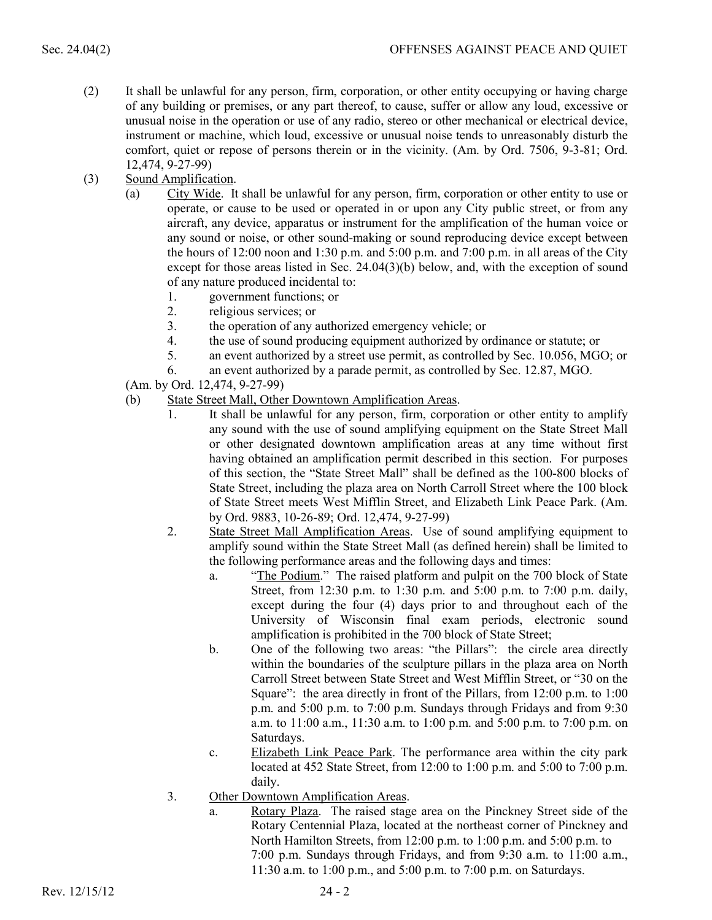- (2) It shall be unlawful for any person, firm, corporation, or other entity occupying or having charge of any building or premises, or any part thereof, to cause, suffer or allow any loud, excessive or unusual noise in the operation or use of any radio, stereo or other mechanical or electrical device, instrument or machine, which loud, excessive or unusual noise tends to unreasonably disturb the comfort, quiet or repose of persons therein or in the vicinity. (Am. by Ord. 7506, 9-3-81; Ord. 12,474, 9-27-99)
- (3) Sound Amplification.
	- (a) City Wide. It shall be unlawful for any person, firm, corporation or other entity to use or operate, or cause to be used or operated in or upon any City public street, or from any aircraft, any device, apparatus or instrument for the amplification of the human voice or any sound or noise, or other sound-making or sound reproducing device except between the hours of 12:00 noon and 1:30 p.m. and 5:00 p.m. and 7:00 p.m. in all areas of the City except for those areas listed in Sec. 24.04(3)(b) below, and, with the exception of sound of any nature produced incidental to:
		- 1. government functions; or
		- 2. religious services; or
		- 3. the operation of any authorized emergency vehicle; or
		- 4. the use of sound producing equipment authorized by ordinance or statute; or
		- 5. an event authorized by a street use permit, as controlled by Sec. 10.056, MGO; or
		- 6. an event authorized by a parade permit, as controlled by Sec. 12.87, MGO.
	- (Am. by Ord. 12,474, 9-27-99)
	- (b) State Street Mall, Other Downtown Amplification Areas.
		- 1. It shall be unlawful for any person, firm, corporation or other entity to amplify any sound with the use of sound amplifying equipment on the State Street Mall or other designated downtown amplification areas at any time without first having obtained an amplification permit described in this section. For purposes of this section, the "State Street Mall" shall be defined as the 100-800 blocks of State Street, including the plaza area on North Carroll Street where the 100 block of State Street meets West Mifflin Street, and Elizabeth Link Peace Park. (Am. by Ord. 9883, 10-26-89; Ord. 12,474, 9-27-99)
		- 2. State Street Mall Amplification Areas. Use of sound amplifying equipment to amplify sound within the State Street Mall (as defined herein) shall be limited to the following performance areas and the following days and times:
			- a. "The Podium." The raised platform and pulpit on the 700 block of State Street, from 12:30 p.m. to 1:30 p.m. and 5:00 p.m. to 7:00 p.m. daily, except during the four (4) days prior to and throughout each of the University of Wisconsin final exam periods, electronic sound amplification is prohibited in the 700 block of State Street;
			- b. One of the following two areas: "the Pillars": the circle area directly within the boundaries of the sculpture pillars in the plaza area on North Carroll Street between State Street and West Mifflin Street, or "30 on the Square": the area directly in front of the Pillars, from 12:00 p.m. to 1:00 p.m. and 5:00 p.m. to 7:00 p.m. Sundays through Fridays and from 9:30 a.m. to 11:00 a.m., 11:30 a.m. to 1:00 p.m. and 5:00 p.m. to 7:00 p.m. on Saturdays.
			- c. Elizabeth Link Peace Park. The performance area within the city park located at 452 State Street, from 12:00 to 1:00 p.m. and 5:00 to 7:00 p.m. daily.
		- 3. Other Downtown Amplification Areas.
			- a. Rotary Plaza. The raised stage area on the Pinckney Street side of the Rotary Centennial Plaza, located at the northeast corner of Pinckney and North Hamilton Streets, from 12:00 p.m. to 1:00 p.m. and 5:00 p.m. to 7:00 p.m. Sundays through Fridays, and from 9:30 a.m. to 11:00 a.m., 11:30 a.m. to 1:00 p.m., and 5:00 p.m. to 7:00 p.m. on Saturdays.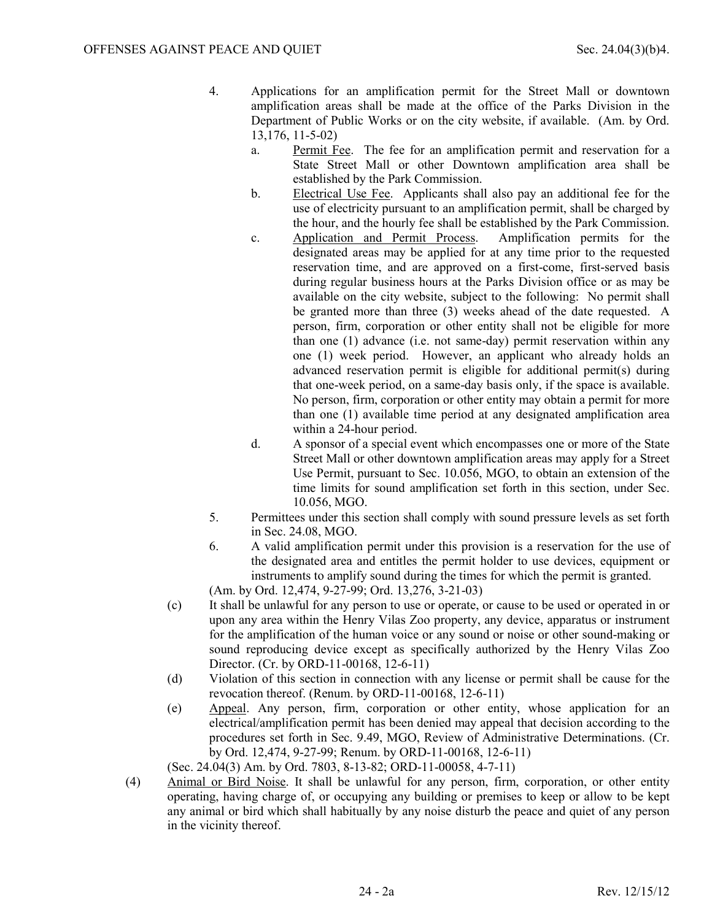- 4. Applications for an amplification permit for the Street Mall or downtown amplification areas shall be made at the office of the Parks Division in the Department of Public Works or on the city website, if available. (Am. by Ord. 13,176, 11-5-02)
	- a. Permit Fee. The fee for an amplification permit and reservation for a State Street Mall or other Downtown amplification area shall be established by the Park Commission.
	- b. Electrical Use Fee. Applicants shall also pay an additional fee for the use of electricity pursuant to an amplification permit, shall be charged by the hour, and the hourly fee shall be established by the Park Commission.
	- c. Application and Permit Process. Amplification permits for the designated areas may be applied for at any time prior to the requested reservation time, and are approved on a first-come, first-served basis during regular business hours at the Parks Division office or as may be available on the city website, subject to the following: No permit shall be granted more than three (3) weeks ahead of the date requested. A person, firm, corporation or other entity shall not be eligible for more than one (1) advance (i.e. not same-day) permit reservation within any one (1) week period. However, an applicant who already holds an advanced reservation permit is eligible for additional permit(s) during that one-week period, on a same-day basis only, if the space is available. No person, firm, corporation or other entity may obtain a permit for more than one (1) available time period at any designated amplification area within a 24-hour period.
	- d. A sponsor of a special event which encompasses one or more of the State Street Mall or other downtown amplification areas may apply for a Street Use Permit, pursuant to Sec. 10.056, MGO, to obtain an extension of the time limits for sound amplification set forth in this section, under Sec. 10.056, MGO.
- 5. Permittees under this section shall comply with sound pressure levels as set forth in Sec. 24.08, MGO.
- 6. A valid amplification permit under this provision is a reservation for the use of the designated area and entitles the permit holder to use devices, equipment or instruments to amplify sound during the times for which the permit is granted.
- (Am. by Ord. 12,474, 9-27-99; Ord. 13,276, 3-21-03)
- (c) It shall be unlawful for any person to use or operate, or cause to be used or operated in or upon any area within the Henry Vilas Zoo property, any device, apparatus or instrument for the amplification of the human voice or any sound or noise or other sound-making or sound reproducing device except as specifically authorized by the Henry Vilas Zoo Director. (Cr. by ORD-11-00168, 12-6-11)
- (d) Violation of this section in connection with any license or permit shall be cause for the revocation thereof. (Renum. by ORD-11-00168, 12-6-11)
- (e) Appeal. Any person, firm, corporation or other entity, whose application for an electrical/amplification permit has been denied may appeal that decision according to the procedures set forth in Sec. 9.49, MGO, Review of Administrative Determinations. (Cr. by Ord. 12,474, 9-27-99; Renum. by ORD-11-00168, 12-6-11)

(Sec. 24.04(3) Am. by Ord. 7803, 8-13-82; ORD-11-00058, 4-7-11)

(4) Animal or Bird Noise. It shall be unlawful for any person, firm, corporation, or other entity operating, having charge of, or occupying any building or premises to keep or allow to be kept any animal or bird which shall habitually by any noise disturb the peace and quiet of any person in the vicinity thereof.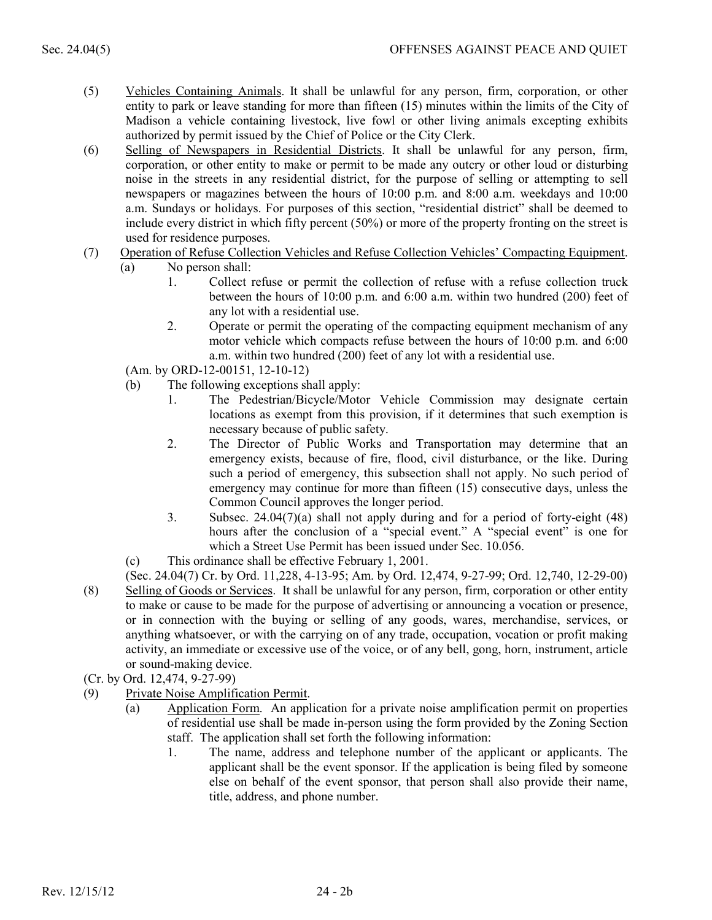- (5) Vehicles Containing Animals. It shall be unlawful for any person, firm, corporation, or other entity to park or leave standing for more than fifteen (15) minutes within the limits of the City of Madison a vehicle containing livestock, live fowl or other living animals excepting exhibits authorized by permit issued by the Chief of Police or the City Clerk.
- (6) Selling of Newspapers in Residential Districts. It shall be unlawful for any person, firm, corporation, or other entity to make or permit to be made any outcry or other loud or disturbing noise in the streets in any residential district, for the purpose of selling or attempting to sell newspapers or magazines between the hours of 10:00 p.m. and 8:00 a.m. weekdays and 10:00 a.m. Sundays or holidays. For purposes of this section, "residential district" shall be deemed to include every district in which fifty percent (50%) or more of the property fronting on the street is used for residence purposes.
- (7) Operation of Refuse Collection Vehicles and Refuse Collection Vehicles' Compacting Equipment.
	- (a) No person shall:
		- 1. Collect refuse or permit the collection of refuse with a refuse collection truck between the hours of 10:00 p.m. and 6:00 a.m. within two hundred (200) feet of any lot with a residential use.
		- 2. Operate or permit the operating of the compacting equipment mechanism of any motor vehicle which compacts refuse between the hours of 10:00 p.m. and 6:00 a.m. within two hundred (200) feet of any lot with a residential use.

(Am. by ORD-12-00151, 12-10-12)

- (b) The following exceptions shall apply:
	- 1. The Pedestrian/Bicycle/Motor Vehicle Commission may designate certain locations as exempt from this provision, if it determines that such exemption is necessary because of public safety.
	- 2. The Director of Public Works and Transportation may determine that an emergency exists, because of fire, flood, civil disturbance, or the like. During such a period of emergency, this subsection shall not apply. No such period of emergency may continue for more than fifteen (15) consecutive days, unless the Common Council approves the longer period.
	- 3. Subsec. 24.04(7)(a) shall not apply during and for a period of forty-eight (48) hours after the conclusion of a "special event." A "special event" is one for which a Street Use Permit has been issued under Sec. 10.056.
- (c) This ordinance shall be effective February 1, 2001.

(Sec. 24.04(7) Cr. by Ord. 11,228, 4-13-95; Am. by Ord. 12,474, 9-27-99; Ord. 12,740, 12-29-00)

- (8) Selling of Goods or Services. It shall be unlawful for any person, firm, corporation or other entity to make or cause to be made for the purpose of advertising or announcing a vocation or presence, or in connection with the buying or selling of any goods, wares, merchandise, services, or anything whatsoever, or with the carrying on of any trade, occupation, vocation or profit making activity, an immediate or excessive use of the voice, or of any bell, gong, horn, instrument, article or sound-making device.
- (Cr. by Ord. 12,474, 9-27-99)
- (9) Private Noise Amplification Permit.
	- (a) Application Form. An application for a private noise amplification permit on properties of residential use shall be made in-person using the form provided by the Zoning Section staff. The application shall set forth the following information:
		- 1. The name, address and telephone number of the applicant or applicants. The applicant shall be the event sponsor. If the application is being filed by someone else on behalf of the event sponsor, that person shall also provide their name, title, address, and phone number.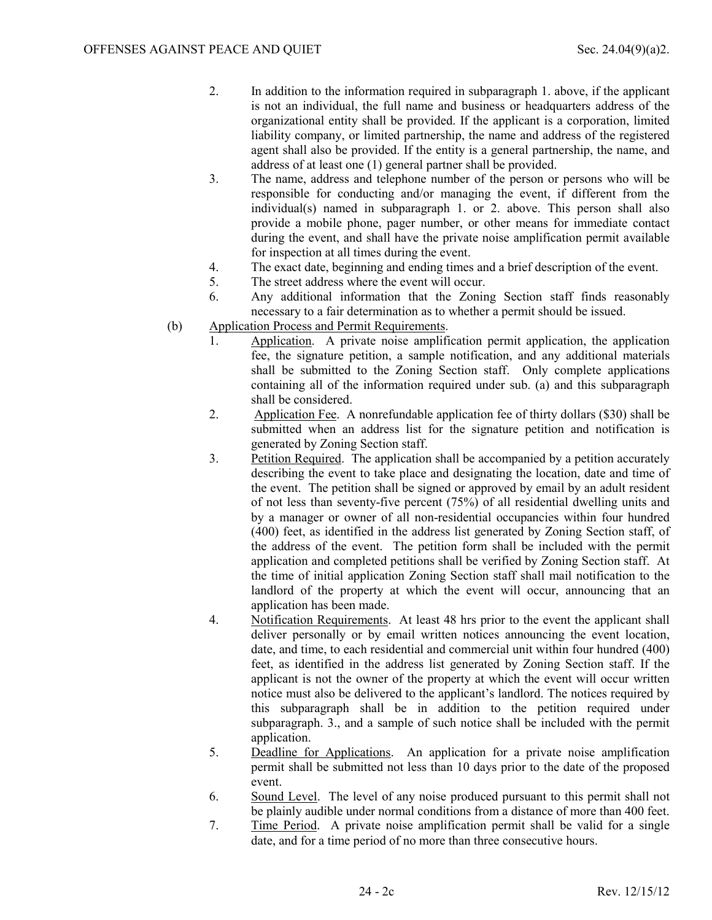- 2. In addition to the information required in subparagraph 1. above, if the applicant is not an individual, the full name and business or headquarters address of the organizational entity shall be provided. If the applicant is a corporation, limited liability company, or limited partnership, the name and address of the registered agent shall also be provided. If the entity is a general partnership, the name, and address of at least one (1) general partner shall be provided.
- 3. The name, address and telephone number of the person or persons who will be responsible for conducting and/or managing the event, if different from the individual(s) named in subparagraph 1. or 2. above. This person shall also provide a mobile phone, pager number, or other means for immediate contact during the event, and shall have the private noise amplification permit available for inspection at all times during the event.
- 4. The exact date, beginning and ending times and a brief description of the event.<br>5. The street address where the event will occur.
- The street address where the event will occur.
- 6. Any additional information that the Zoning Section staff finds reasonably necessary to a fair determination as to whether a permit should be issued.
- (b) Application Process and Permit Requirements.
	- 1. Application. A private noise amplification permit application, the application fee, the signature petition, a sample notification, and any additional materials shall be submitted to the Zoning Section staff. Only complete applications containing all of the information required under sub. (a) and this subparagraph shall be considered.
	- 2. Application Fee. A nonrefundable application fee of thirty dollars (\$30) shall be submitted when an address list for the signature petition and notification is generated by Zoning Section staff.
	- 3. Petition Required. The application shall be accompanied by a petition accurately describing the event to take place and designating the location, date and time of the event. The petition shall be signed or approved by email by an adult resident of not less than seventy-five percent (75%) of all residential dwelling units and by a manager or owner of all non-residential occupancies within four hundred (400) feet, as identified in the address list generated by Zoning Section staff, of the address of the event. The petition form shall be included with the permit application and completed petitions shall be verified by Zoning Section staff. At the time of initial application Zoning Section staff shall mail notification to the landlord of the property at which the event will occur, announcing that an application has been made.
	- 4. Notification Requirements. At least 48 hrs prior to the event the applicant shall deliver personally or by email written notices announcing the event location, date, and time, to each residential and commercial unit within four hundred (400) feet, as identified in the address list generated by Zoning Section staff. If the applicant is not the owner of the property at which the event will occur written notice must also be delivered to the applicant's landlord. The notices required by this subparagraph shall be in addition to the petition required under subparagraph. 3., and a sample of such notice shall be included with the permit application.
	- 5. Deadline for Applications. An application for a private noise amplification permit shall be submitted not less than 10 days prior to the date of the proposed event.
	- 6. Sound Level. The level of any noise produced pursuant to this permit shall not be plainly audible under normal conditions from a distance of more than 400 feet.
	- 7. Time Period. A private noise amplification permit shall be valid for a single date, and for a time period of no more than three consecutive hours.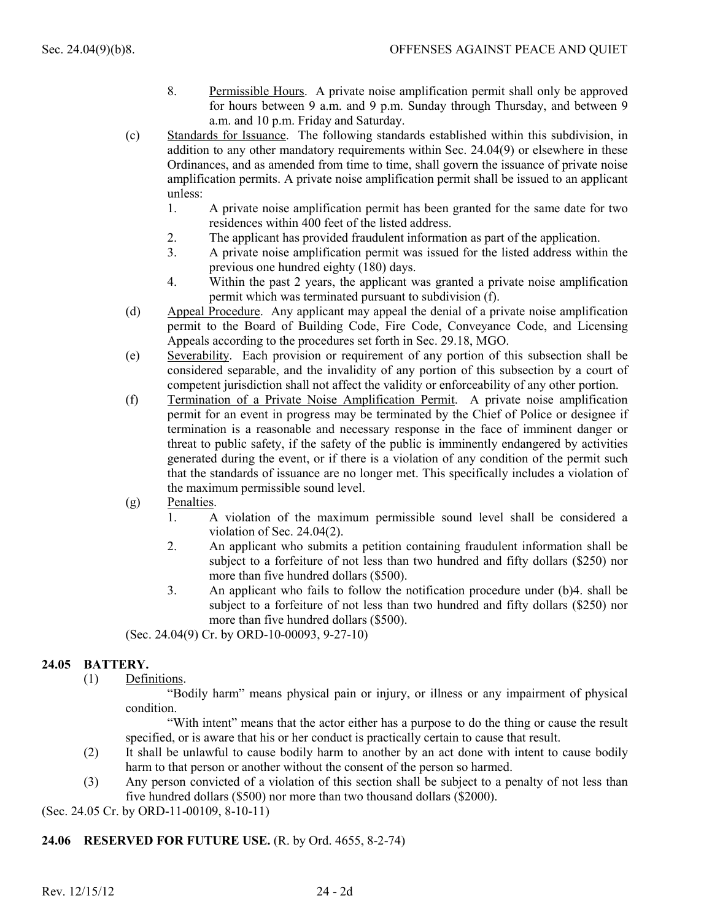- 8. Permissible Hours. A private noise amplification permit shall only be approved for hours between 9 a.m. and 9 p.m. Sunday through Thursday, and between 9 a.m. and 10 p.m. Friday and Saturday.
- (c) Standards for Issuance. The following standards established within this subdivision, in addition to any other mandatory requirements within Sec. 24.04(9) or elsewhere in these Ordinances, and as amended from time to time, shall govern the issuance of private noise amplification permits. A private noise amplification permit shall be issued to an applicant unless:
	- 1. A private noise amplification permit has been granted for the same date for two residences within 400 feet of the listed address.
	- 2. The applicant has provided fraudulent information as part of the application.
	- 3. A private noise amplification permit was issued for the listed address within the previous one hundred eighty (180) days.
	- 4. Within the past 2 years, the applicant was granted a private noise amplification permit which was terminated pursuant to subdivision (f).
- (d) Appeal Procedure. Any applicant may appeal the denial of a private noise amplification permit to the Board of Building Code, Fire Code, Conveyance Code, and Licensing Appeals according to the procedures set forth in Sec. 29.18, MGO.
- (e) Severability. Each provision or requirement of any portion of this subsection shall be considered separable, and the invalidity of any portion of this subsection by a court of competent jurisdiction shall not affect the validity or enforceability of any other portion.
- (f) Termination of a Private Noise Amplification Permit. A private noise amplification permit for an event in progress may be terminated by the Chief of Police or designee if termination is a reasonable and necessary response in the face of imminent danger or threat to public safety, if the safety of the public is imminently endangered by activities generated during the event, or if there is a violation of any condition of the permit such that the standards of issuance are no longer met. This specifically includes a violation of the maximum permissible sound level.
- (g) Penalties.
	- 1. A violation of the maximum permissible sound level shall be considered a violation of Sec. 24.04(2).
	- 2. An applicant who submits a petition containing fraudulent information shall be subject to a forfeiture of not less than two hundred and fifty dollars (\$250) nor more than five hundred dollars (\$500).
	- 3. An applicant who fails to follow the notification procedure under (b)4. shall be subject to a forfeiture of not less than two hundred and fifty dollars (\$250) nor more than five hundred dollars (\$500).

(Sec. 24.04(9) Cr. by ORD-10-00093, 9-27-10)

# **24.05 BATTERY.**

(1) Definitions.

"Bodily harm" means physical pain or injury, or illness or any impairment of physical condition.

"With intent" means that the actor either has a purpose to do the thing or cause the result specified, or is aware that his or her conduct is practically certain to cause that result.

- (2) It shall be unlawful to cause bodily harm to another by an act done with intent to cause bodily harm to that person or another without the consent of the person so harmed.
- (3) Any person convicted of a violation of this section shall be subject to a penalty of not less than five hundred dollars (\$500) nor more than two thousand dollars (\$2000).

(Sec. 24.05 Cr. by ORD-11-00109, 8-10-11)

# **24.06 RESERVED FOR FUTURE USE.** (R. by Ord. 4655, 8-2-74)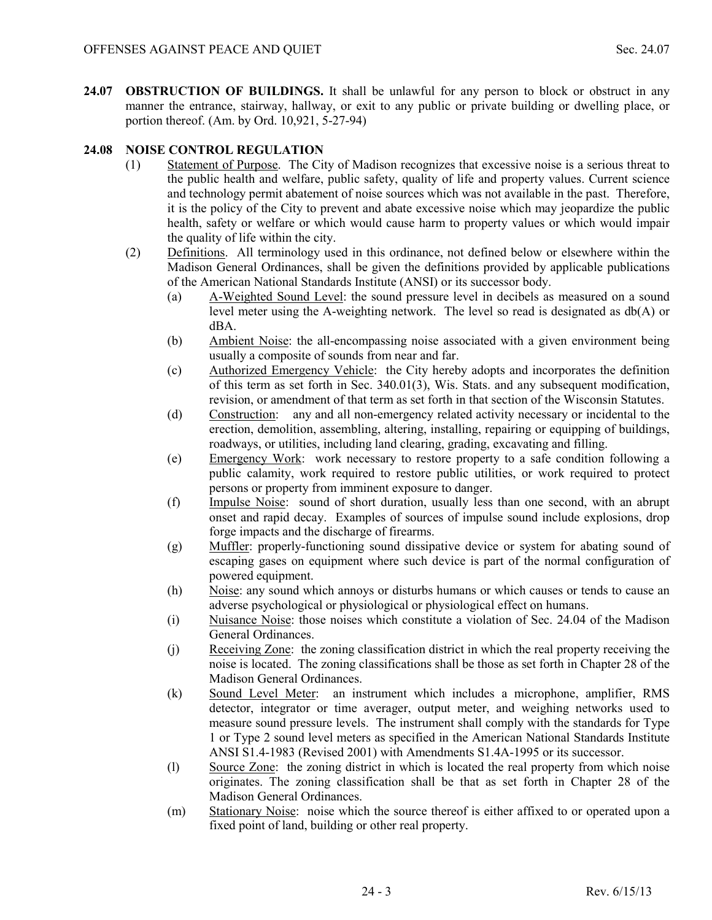**24.07 OBSTRUCTION OF BUILDINGS.** It shall be unlawful for any person to block or obstruct in any manner the entrance, stairway, hallway, or exit to any public or private building or dwelling place, or portion thereof. (Am. by Ord. 10,921, 5-27-94)

# **24.08 NOISE CONTROL REGULATION**

- (1) Statement of Purpose. The City of Madison recognizes that excessive noise is a serious threat to the public health and welfare, public safety, quality of life and property values. Current science and technology permit abatement of noise sources which was not available in the past. Therefore, it is the policy of the City to prevent and abate excessive noise which may jeopardize the public health, safety or welfare or which would cause harm to property values or which would impair the quality of life within the city.
- (2) Definitions. All terminology used in this ordinance, not defined below or elsewhere within the Madison General Ordinances, shall be given the definitions provided by applicable publications of the American National Standards Institute (ANSI) or its successor body.
	- (a) A-Weighted Sound Level: the sound pressure level in decibels as measured on a sound level meter using the A-weighting network. The level so read is designated as db(A) or dBA.
	- (b) Ambient Noise: the all-encompassing noise associated with a given environment being usually a composite of sounds from near and far.
	- (c) Authorized Emergency Vehicle: the City hereby adopts and incorporates the definition of this term as set forth in Sec. 340.01(3), Wis. Stats. and any subsequent modification, revision, or amendment of that term as set forth in that section of the Wisconsin Statutes.
	- (d) Construction: any and all non-emergency related activity necessary or incidental to the erection, demolition, assembling, altering, installing, repairing or equipping of buildings, roadways, or utilities, including land clearing, grading, excavating and filling.
	- (e) Emergency Work: work necessary to restore property to a safe condition following a public calamity, work required to restore public utilities, or work required to protect persons or property from imminent exposure to danger.
	- (f) Impulse Noise: sound of short duration, usually less than one second, with an abrupt onset and rapid decay. Examples of sources of impulse sound include explosions, drop forge impacts and the discharge of firearms.
	- (g) Muffler: properly-functioning sound dissipative device or system for abating sound of escaping gases on equipment where such device is part of the normal configuration of powered equipment.
	- (h) Noise: any sound which annoys or disturbs humans or which causes or tends to cause an adverse psychological or physiological or physiological effect on humans.
	- (i) Nuisance Noise: those noises which constitute a violation of Sec. 24.04 of the Madison General Ordinances.
	- (j) Receiving Zone: the zoning classification district in which the real property receiving the noise is located. The zoning classifications shall be those as set forth in Chapter 28 of the Madison General Ordinances.
	- (k) Sound Level Meter: an instrument which includes a microphone, amplifier, RMS detector, integrator or time averager, output meter, and weighing networks used to measure sound pressure levels. The instrument shall comply with the standards for Type 1 or Type 2 sound level meters as specified in the American National Standards Institute ANSI S1.4-1983 (Revised 2001) with Amendments S1.4A-1995 or its successor.
	- (l) Source Zone: the zoning district in which is located the real property from which noise originates. The zoning classification shall be that as set forth in Chapter 28 of the Madison General Ordinances.
	- (m) Stationary Noise: noise which the source thereof is either affixed to or operated upon a fixed point of land, building or other real property.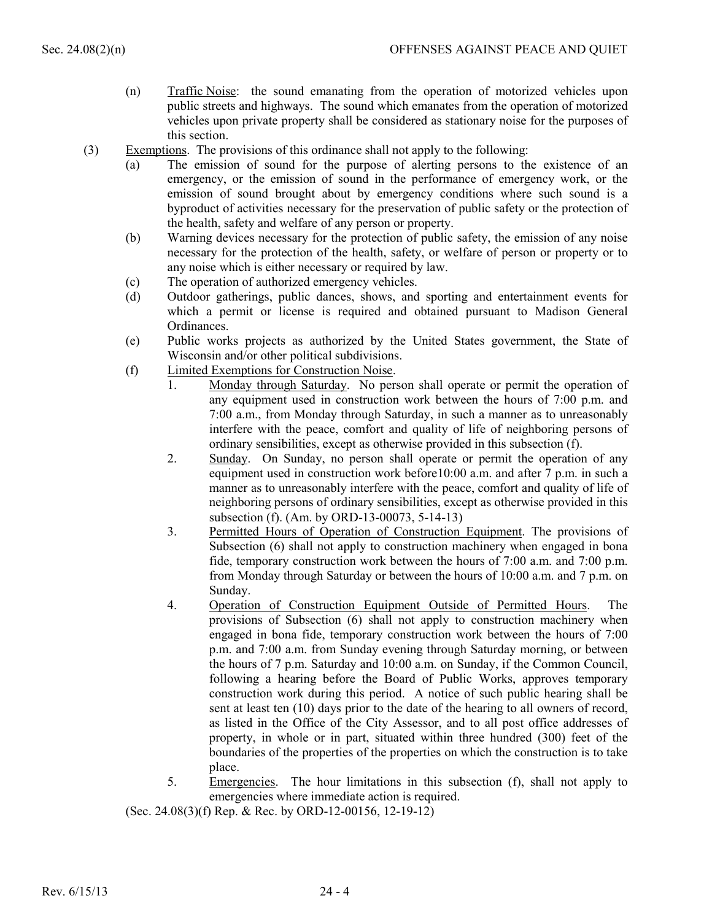- (n) Traffic Noise: the sound emanating from the operation of motorized vehicles upon public streets and highways. The sound which emanates from the operation of motorized vehicles upon private property shall be considered as stationary noise for the purposes of this section.
- (3) Exemptions. The provisions of this ordinance shall not apply to the following:
	- (a) The emission of sound for the purpose of alerting persons to the existence of an emergency, or the emission of sound in the performance of emergency work, or the emission of sound brought about by emergency conditions where such sound is a byproduct of activities necessary for the preservation of public safety or the protection of the health, safety and welfare of any person or property.
	- (b) Warning devices necessary for the protection of public safety, the emission of any noise necessary for the protection of the health, safety, or welfare of person or property or to any noise which is either necessary or required by law.
	- (c) The operation of authorized emergency vehicles.
	- (d) Outdoor gatherings, public dances, shows, and sporting and entertainment events for which a permit or license is required and obtained pursuant to Madison General Ordinances.
	- (e) Public works projects as authorized by the United States government, the State of Wisconsin and/or other political subdivisions.
	- (f) Limited Exemptions for Construction Noise.
		- 1. Monday through Saturday. No person shall operate or permit the operation of any equipment used in construction work between the hours of 7:00 p.m. and 7:00 a.m., from Monday through Saturday, in such a manner as to unreasonably interfere with the peace, comfort and quality of life of neighboring persons of ordinary sensibilities, except as otherwise provided in this subsection (f).
		- 2. Sunday. On Sunday, no person shall operate or permit the operation of any equipment used in construction work before10:00 a.m. and after 7 p.m. in such a manner as to unreasonably interfere with the peace, comfort and quality of life of neighboring persons of ordinary sensibilities, except as otherwise provided in this subsection (f). (Am. by ORD-13-00073, 5-14-13)
		- 3. Permitted Hours of Operation of Construction Equipment. The provisions of Subsection (6) shall not apply to construction machinery when engaged in bona fide, temporary construction work between the hours of 7:00 a.m. and 7:00 p.m. from Monday through Saturday or between the hours of 10:00 a.m. and 7 p.m. on Sunday.
		- 4. Operation of Construction Equipment Outside of Permitted Hours. The provisions of Subsection (6) shall not apply to construction machinery when engaged in bona fide, temporary construction work between the hours of 7:00 p.m. and 7:00 a.m. from Sunday evening through Saturday morning, or between the hours of 7 p.m. Saturday and 10:00 a.m. on Sunday, if the Common Council, following a hearing before the Board of Public Works, approves temporary construction work during this period. A notice of such public hearing shall be sent at least ten (10) days prior to the date of the hearing to all owners of record, as listed in the Office of the City Assessor, and to all post office addresses of property, in whole or in part, situated within three hundred (300) feet of the boundaries of the properties of the properties on which the construction is to take place.
		- 5. Emergencies. The hour limitations in this subsection (f), shall not apply to emergencies where immediate action is required.

(Sec. 24.08(3)(f) Rep. & Rec. by ORD-12-00156, 12-19-12)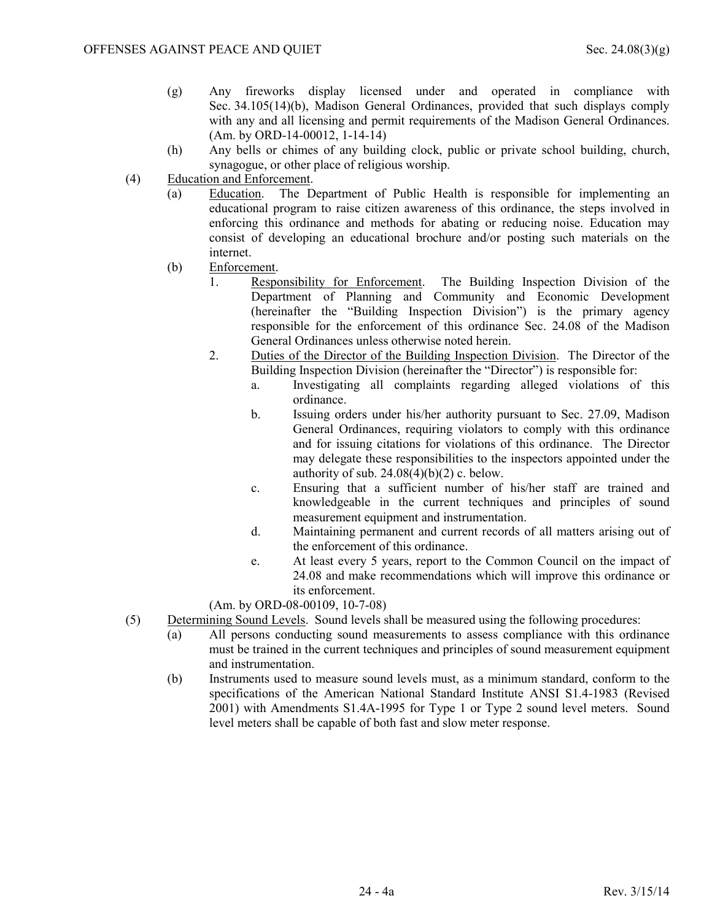- (g) Any fireworks display licensed under and operated in compliance with Sec. 34.105(14)(b), Madison General Ordinances, provided that such displays comply with any and all licensing and permit requirements of the Madison General Ordinances. (Am. by ORD-14-00012, 1-14-14)
- (h) Any bells or chimes of any building clock, public or private school building, church, synagogue, or other place of religious worship.
- (4) Education and Enforcement.
	- (a) Education. The Department of Public Health is responsible for implementing an educational program to raise citizen awareness of this ordinance, the steps involved in enforcing this ordinance and methods for abating or reducing noise. Education may consist of developing an educational brochure and/or posting such materials on the internet.
	- (b) Enforcement.
		- 1. Responsibility for Enforcement. The Building Inspection Division of the Department of Planning and Community and Economic Development (hereinafter the "Building Inspection Division") is the primary agency responsible for the enforcement of this ordinance Sec. 24.08 of the Madison General Ordinances unless otherwise noted herein.
		- 2. Duties of the Director of the Building Inspection Division. The Director of the Building Inspection Division (hereinafter the "Director") is responsible for:
			- a. Investigating all complaints regarding alleged violations of this ordinance.
			- b. Issuing orders under his/her authority pursuant to Sec. 27.09, Madison General Ordinances, requiring violators to comply with this ordinance and for issuing citations for violations of this ordinance. The Director may delegate these responsibilities to the inspectors appointed under the authority of sub.  $24.08(4)(b)(2)$  c. below.
			- c. Ensuring that a sufficient number of his/her staff are trained and knowledgeable in the current techniques and principles of sound measurement equipment and instrumentation.
			- d. Maintaining permanent and current records of all matters arising out of the enforcement of this ordinance.
			- e. At least every 5 years, report to the Common Council on the impact of 24.08 and make recommendations which will improve this ordinance or its enforcement.
		- (Am. by ORD-08-00109, 10-7-08)
- (5) Determining Sound Levels. Sound levels shall be measured using the following procedures:
	- (a) All persons conducting sound measurements to assess compliance with this ordinance must be trained in the current techniques and principles of sound measurement equipment and instrumentation.
	- (b) Instruments used to measure sound levels must, as a minimum standard, conform to the specifications of the American National Standard Institute ANSI S1.4-1983 (Revised 2001) with Amendments S1.4A-1995 for Type 1 or Type 2 sound level meters. Sound level meters shall be capable of both fast and slow meter response.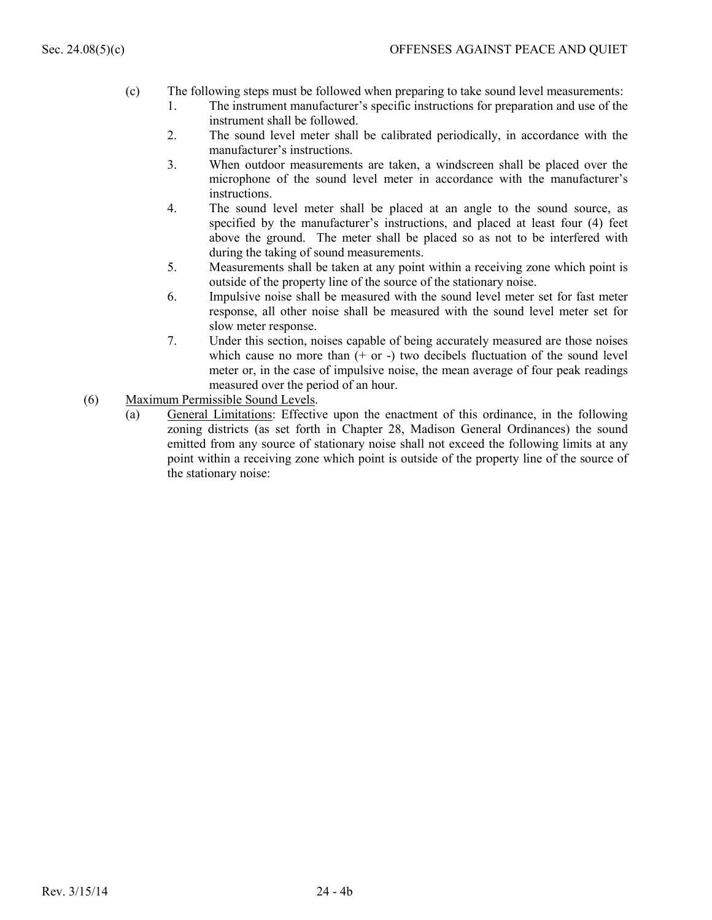- (c) The following steps must be followed when preparing to take sound level measurements:
	- 1. The instrument manufacturer's specific instructions for preparation and use of the instrument shall be followed.
	- 2. The sound level meter shall be calibrated periodically, in accordance with the manufacturer's instructions.
	- 3. When outdoor measurements are taken, a windscreen shall be placed over the microphone of the sound level meter in accordance with the manufacturer's instructions.
	- 4. The sound level meter shall be placed at an angle to the sound source, as specified by the manufacturer's instructions, and placed at least four (4) feet above the ground. The meter shall be placed so as not to be interfered with during the taking of sound measurements.
	- 5. Measurements shall be taken at any point within a receiving zone which point is outside of the property line of the source of the stationary noise.
	- 6. Impulsive noise shall be measured with the sound level meter set for fast meter response, all other noise shall be measured with the sound level meter set for slow meter response.
	- 7. Under this section, noises capable of being accurately measured are those noises which cause no more than  $(+)$  or  $-)$  two decibels fluctuation of the sound level meter or, in the case of impulsive noise, the mean average of four peak readings measured over the period of an hour.
- (6) Maximum Permissible Sound Levels.
	- (a) General Limitations: Effective upon the enactment of this ordinance, in the following zoning districts (as set forth in Chapter 28, Madison General Ordinances) the sound emitted from any source of stationary noise shall not exceed the following limits at any point within a receiving zone which point is outside of the property line of the source of the stationary noise: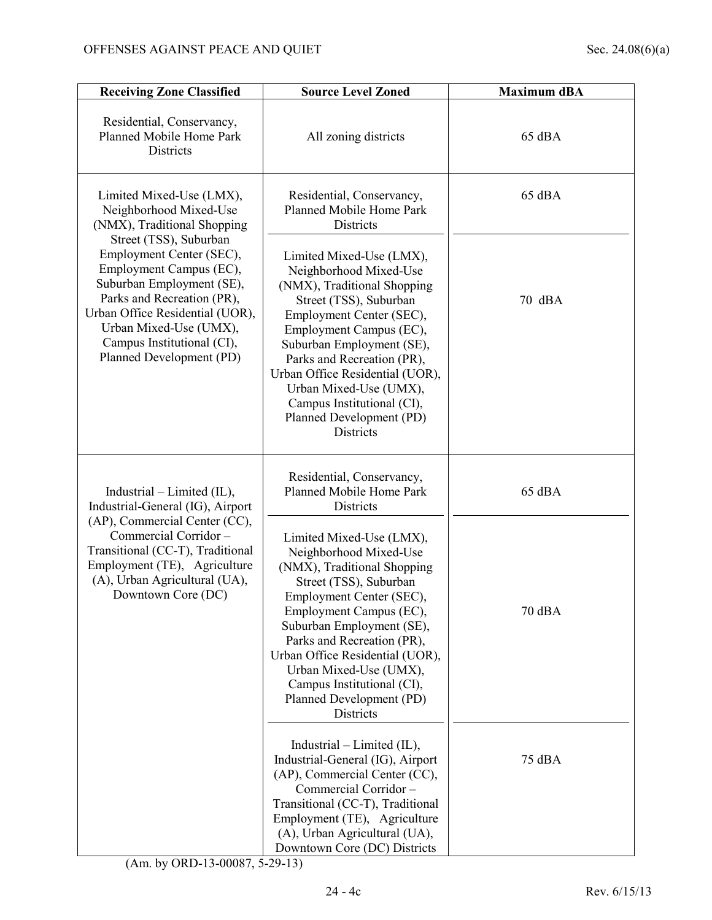| <b>Receiving Zone Classified</b>                                                                                                                                                                                                                                | <b>Source Level Zoned</b>                                                                                                                                                                                                                                                                                                                                                | <b>Maximum dBA</b> |
|-----------------------------------------------------------------------------------------------------------------------------------------------------------------------------------------------------------------------------------------------------------------|--------------------------------------------------------------------------------------------------------------------------------------------------------------------------------------------------------------------------------------------------------------------------------------------------------------------------------------------------------------------------|--------------------|
| Residential, Conservancy,<br>Planned Mobile Home Park<br>Districts                                                                                                                                                                                              | All zoning districts                                                                                                                                                                                                                                                                                                                                                     | 65 dBA             |
| Limited Mixed-Use (LMX),<br>Neighborhood Mixed-Use<br>(NMX), Traditional Shopping                                                                                                                                                                               | Residential, Conservancy,<br>Planned Mobile Home Park<br><b>Districts</b>                                                                                                                                                                                                                                                                                                | 65 dBA             |
| Street (TSS), Suburban<br>Employment Center (SEC),<br>Employment Campus (EC),<br>Suburban Employment (SE),<br>Parks and Recreation (PR),<br>Urban Office Residential (UOR),<br>Urban Mixed-Use (UMX),<br>Campus Institutional (CI),<br>Planned Development (PD) | Limited Mixed-Use (LMX),<br>Neighborhood Mixed-Use<br>(NMX), Traditional Shopping<br>Street (TSS), Suburban<br>Employment Center (SEC),<br>Employment Campus (EC),<br>Suburban Employment (SE),<br>Parks and Recreation (PR),<br>Urban Office Residential (UOR),<br>Urban Mixed-Use (UMX),<br>Campus Institutional (CI),<br>Planned Development (PD)<br><b>Districts</b> | 70 dBA             |
| $Industrial-Limited (IL),$<br>Industrial-General (IG), Airport                                                                                                                                                                                                  | Residential, Conservancy,<br>Planned Mobile Home Park<br>Districts                                                                                                                                                                                                                                                                                                       | 65 dBA             |
| (AP), Commercial Center (CC),<br>Commercial Corridor-<br>Transitional (CC-T), Traditional<br>Employment (TE), Agriculture<br>(A), Urban Agricultural (UA),<br>Downtown Core (DC)                                                                                | Limited Mixed-Use (LMX),<br>Neighborhood Mixed-Use<br>(NMX), Traditional Shopping<br>Street (TSS), Suburban<br>Employment Center (SEC),<br>Employment Campus (EC),<br>Suburban Employment (SE),<br>Parks and Recreation (PR),<br>Urban Office Residential (UOR),<br>Urban Mixed-Use (UMX),<br>Campus Institutional (CI),<br>Planned Development (PD)<br>Districts        | 70 dBA             |
|                                                                                                                                                                                                                                                                 | Industrial – Limited $(IL)$ ,<br>Industrial-General (IG), Airport<br>(AP), Commercial Center (CC),<br>Commercial Corridor-<br>Transitional (CC-T), Traditional<br>Employment (TE), Agriculture<br>(A), Urban Agricultural (UA),<br>Downtown Core (DC) Districts                                                                                                          | 75 dBA             |

(Am. by ORD-13-00087, 5-29-13)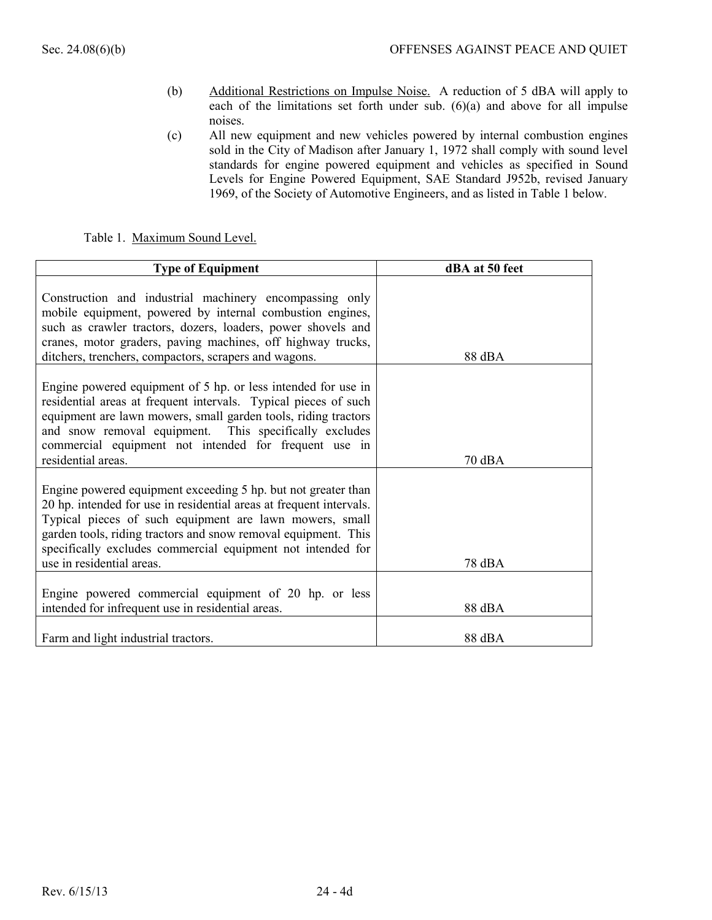- (b) Additional Restrictions on Impulse Noise. A reduction of 5 dBA will apply to each of the limitations set forth under sub.  $(6)(a)$  and above for all impulse noises.
- (c) All new equipment and new vehicles powered by internal combustion engines sold in the City of Madison after January 1, 1972 shall comply with sound level standards for engine powered equipment and vehicles as specified in Sound Levels for Engine Powered Equipment, SAE Standard J952b, revised January 1969, of the Society of Automotive Engineers, and as listed in Table 1 below.

Table 1. Maximum Sound Level.

| <b>Type of Equipment</b>                                                                                                                                                                                                                                                                                                                                      | dBA at 50 feet |
|---------------------------------------------------------------------------------------------------------------------------------------------------------------------------------------------------------------------------------------------------------------------------------------------------------------------------------------------------------------|----------------|
| Construction and industrial machinery encompassing only<br>mobile equipment, powered by internal combustion engines,<br>such as crawler tractors, dozers, loaders, power shovels and<br>cranes, motor graders, paving machines, off highway trucks,<br>ditchers, trenchers, compactors, scrapers and wagons.                                                  | 88 dBA         |
| Engine powered equipment of 5 hp. or less intended for use in<br>residential areas at frequent intervals. Typical pieces of such<br>equipment are lawn mowers, small garden tools, riding tractors<br>and snow removal equipment. This specifically excludes<br>commercial equipment not intended for frequent use in<br>residential areas.                   | 70 dBA         |
| Engine powered equipment exceeding 5 hp. but not greater than<br>20 hp. intended for use in residential areas at frequent intervals.<br>Typical pieces of such equipment are lawn mowers, small<br>garden tools, riding tractors and snow removal equipment. This<br>specifically excludes commercial equipment not intended for<br>use in residential areas. | 78 dBA         |
| Engine powered commercial equipment of 20 hp. or less<br>intended for infrequent use in residential areas.                                                                                                                                                                                                                                                    | 88 dBA         |
| Farm and light industrial tractors.                                                                                                                                                                                                                                                                                                                           | 88 dBA         |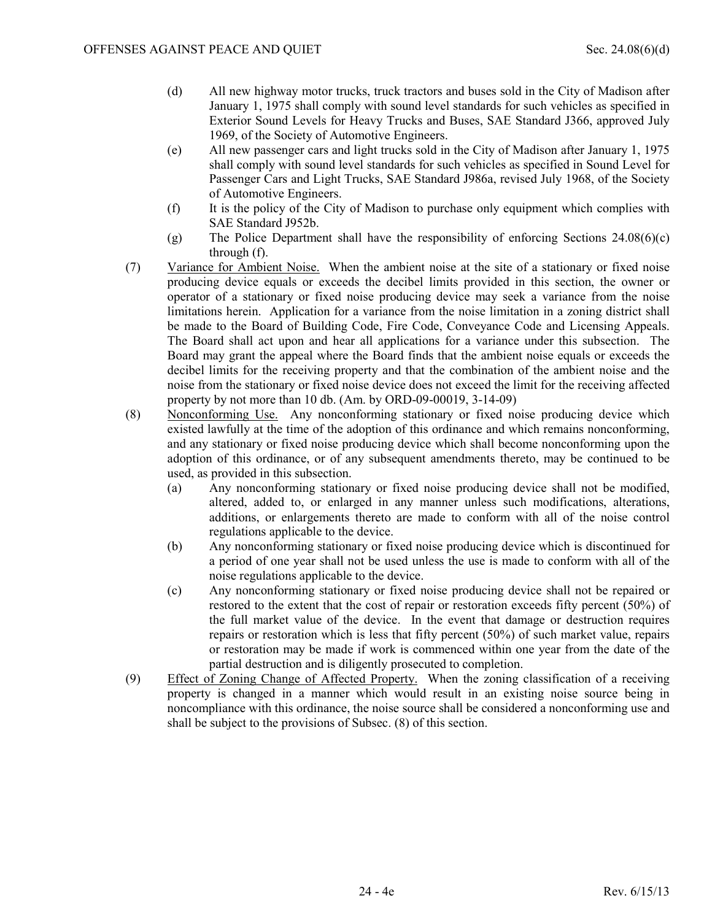- (d) All new highway motor trucks, truck tractors and buses sold in the City of Madison after January 1, 1975 shall comply with sound level standards for such vehicles as specified in Exterior Sound Levels for Heavy Trucks and Buses, SAE Standard J366, approved July 1969, of the Society of Automotive Engineers.
- (e) All new passenger cars and light trucks sold in the City of Madison after January 1, 1975 shall comply with sound level standards for such vehicles as specified in Sound Level for Passenger Cars and Light Trucks, SAE Standard J986a, revised July 1968, of the Society of Automotive Engineers.
- (f) It is the policy of the City of Madison to purchase only equipment which complies with SAE Standard J952b.
- (g) The Police Department shall have the responsibility of enforcing Sections 24.08(6)(c) through (f).
- (7) Variance for Ambient Noise. When the ambient noise at the site of a stationary or fixed noise producing device equals or exceeds the decibel limits provided in this section, the owner or operator of a stationary or fixed noise producing device may seek a variance from the noise limitations herein. Application for a variance from the noise limitation in a zoning district shall be made to the Board of Building Code, Fire Code, Conveyance Code and Licensing Appeals. The Board shall act upon and hear all applications for a variance under this subsection. The Board may grant the appeal where the Board finds that the ambient noise equals or exceeds the decibel limits for the receiving property and that the combination of the ambient noise and the noise from the stationary or fixed noise device does not exceed the limit for the receiving affected property by not more than 10 db. (Am. by ORD-09-00019, 3-14-09)
- (8) Nonconforming Use. Any nonconforming stationary or fixed noise producing device which existed lawfully at the time of the adoption of this ordinance and which remains nonconforming, and any stationary or fixed noise producing device which shall become nonconforming upon the adoption of this ordinance, or of any subsequent amendments thereto, may be continued to be used, as provided in this subsection.
	- (a) Any nonconforming stationary or fixed noise producing device shall not be modified, altered, added to, or enlarged in any manner unless such modifications, alterations, additions, or enlargements thereto are made to conform with all of the noise control regulations applicable to the device.
	- (b) Any nonconforming stationary or fixed noise producing device which is discontinued for a period of one year shall not be used unless the use is made to conform with all of the noise regulations applicable to the device.
	- (c) Any nonconforming stationary or fixed noise producing device shall not be repaired or restored to the extent that the cost of repair or restoration exceeds fifty percent (50%) of the full market value of the device. In the event that damage or destruction requires repairs or restoration which is less that fifty percent (50%) of such market value, repairs or restoration may be made if work is commenced within one year from the date of the partial destruction and is diligently prosecuted to completion.
- (9) Effect of Zoning Change of Affected Property. When the zoning classification of a receiving property is changed in a manner which would result in an existing noise source being in noncompliance with this ordinance, the noise source shall be considered a nonconforming use and shall be subject to the provisions of Subsec. (8) of this section.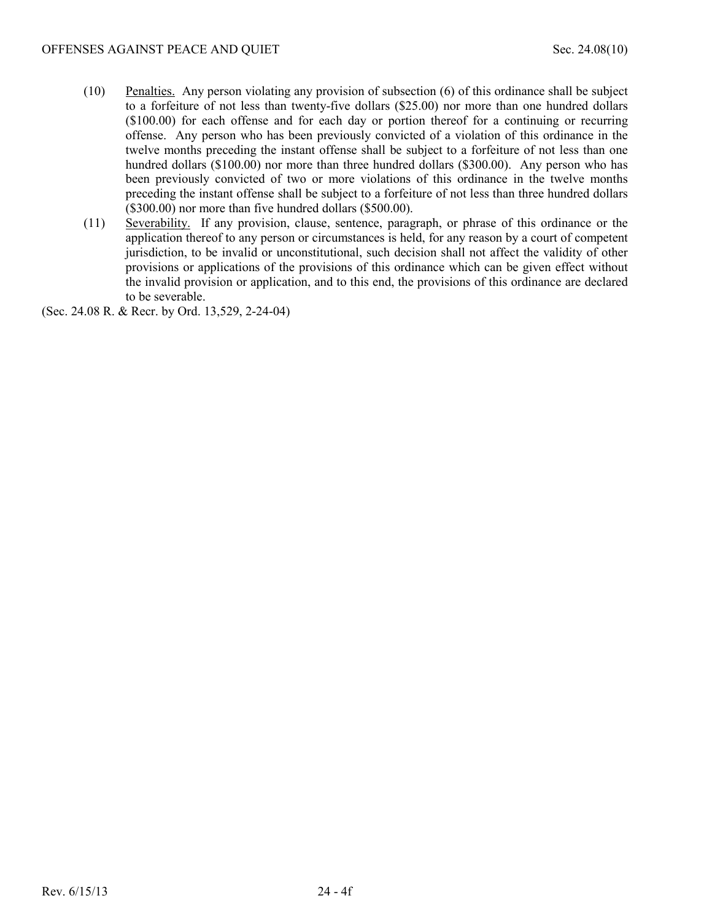- (10) Penalties. Any person violating any provision of subsection (6) of this ordinance shall be subject to a forfeiture of not less than twenty-five dollars (\$25.00) nor more than one hundred dollars (\$100.00) for each offense and for each day or portion thereof for a continuing or recurring offense. Any person who has been previously convicted of a violation of this ordinance in the twelve months preceding the instant offense shall be subject to a forfeiture of not less than one hundred dollars (\$100.00) nor more than three hundred dollars (\$300.00). Any person who has been previously convicted of two or more violations of this ordinance in the twelve months preceding the instant offense shall be subject to a forfeiture of not less than three hundred dollars (\$300.00) nor more than five hundred dollars (\$500.00).
- (11) Severability. If any provision, clause, sentence, paragraph, or phrase of this ordinance or the application thereof to any person or circumstances is held, for any reason by a court of competent jurisdiction, to be invalid or unconstitutional, such decision shall not affect the validity of other provisions or applications of the provisions of this ordinance which can be given effect without the invalid provision or application, and to this end, the provisions of this ordinance are declared to be severable.

(Sec. 24.08 R. & Recr. by Ord. 13,529, 2-24-04)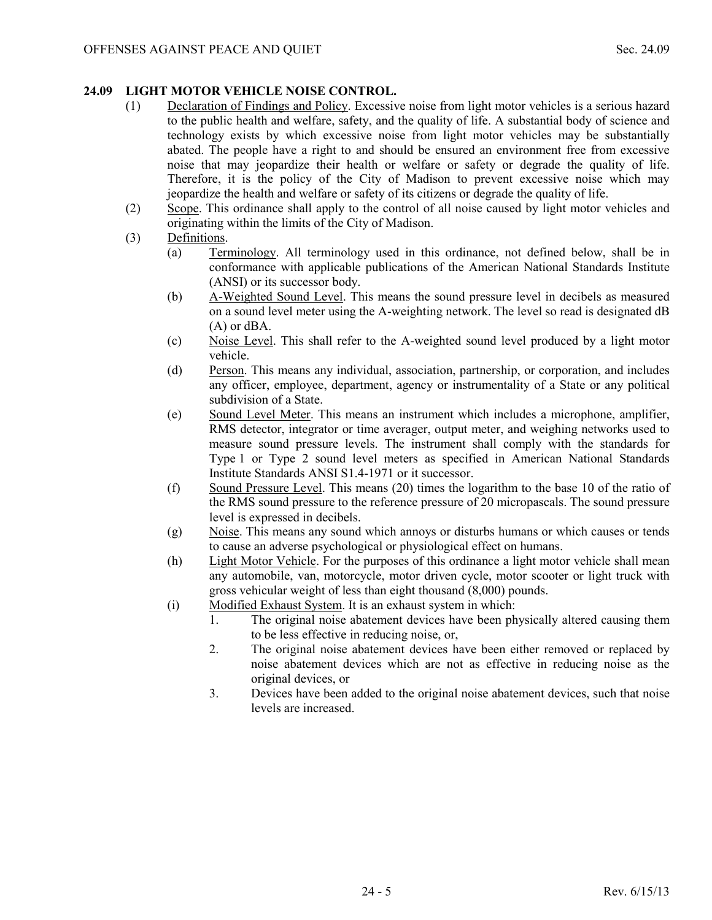# **24.09 LIGHT MOTOR VEHICLE NOISE CONTROL.**

- (1) Declaration of Findings and Policy. Excessive noise from light motor vehicles is a serious hazard to the public health and welfare, safety, and the quality of life. A substantial body of science and technology exists by which excessive noise from light motor vehicles may be substantially abated. The people have a right to and should be ensured an environment free from excessive noise that may jeopardize their health or welfare or safety or degrade the quality of life. Therefore, it is the policy of the City of Madison to prevent excessive noise which may jeopardize the health and welfare or safety of its citizens or degrade the quality of life.
- (2) Scope. This ordinance shall apply to the control of all noise caused by light motor vehicles and originating within the limits of the City of Madison.
- (3) Definitions.
	- (a) Terminology. All terminology used in this ordinance, not defined below, shall be in conformance with applicable publications of the American National Standards Institute (ANSI) or its successor body.
	- (b) A-Weighted Sound Level. This means the sound pressure level in decibels as measured on a sound level meter using the A-weighting network. The level so read is designated dB (A) or dBA.
	- (c) Noise Level. This shall refer to the A-weighted sound level produced by a light motor vehicle.
	- (d) Person. This means any individual, association, partnership, or corporation, and includes any officer, employee, department, agency or instrumentality of a State or any political subdivision of a State.
	- (e) Sound Level Meter. This means an instrument which includes a microphone, amplifier, RMS detector, integrator or time averager, output meter, and weighing networks used to measure sound pressure levels. The instrument shall comply with the standards for Type 1 or Type 2 sound level meters as specified in American National Standards Institute Standards ANSI S1.4-1971 or it successor.
	- (f) Sound Pressure Level. This means (20) times the logarithm to the base 10 of the ratio of the RMS sound pressure to the reference pressure of 20 micropascals. The sound pressure level is expressed in decibels.
	- (g) Noise. This means any sound which annoys or disturbs humans or which causes or tends to cause an adverse psychological or physiological effect on humans.
	- (h) Light Motor Vehicle. For the purposes of this ordinance a light motor vehicle shall mean any automobile, van, motorcycle, motor driven cycle, motor scooter or light truck with gross vehicular weight of less than eight thousand (8,000) pounds.
	- (i) Modified Exhaust System. It is an exhaust system in which:
		- 1. The original noise abatement devices have been physically altered causing them to be less effective in reducing noise, or,
		- 2. The original noise abatement devices have been either removed or replaced by noise abatement devices which are not as effective in reducing noise as the original devices, or
		- 3. Devices have been added to the original noise abatement devices, such that noise levels are increased.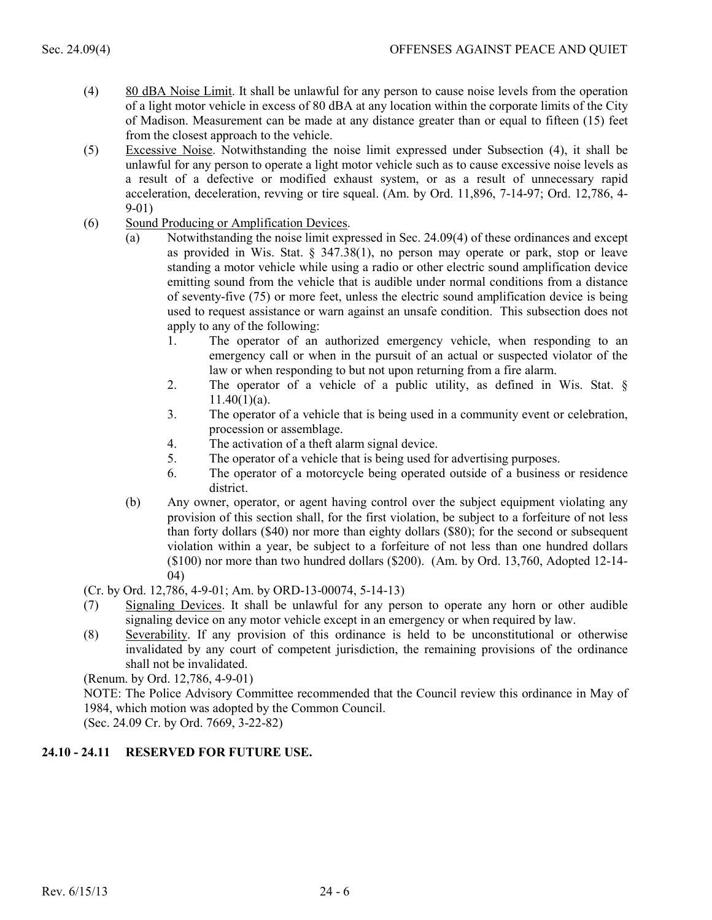- (4) 80 dBA Noise Limit. It shall be unlawful for any person to cause noise levels from the operation of a light motor vehicle in excess of 80 dBA at any location within the corporate limits of the City of Madison. Measurement can be made at any distance greater than or equal to fifteen (15) feet from the closest approach to the vehicle.
- (5) Excessive Noise. Notwithstanding the noise limit expressed under Subsection (4), it shall be unlawful for any person to operate a light motor vehicle such as to cause excessive noise levels as a result of a defective or modified exhaust system, or as a result of unnecessary rapid acceleration, deceleration, revving or tire squeal. (Am. by Ord. 11,896, 7-14-97; Ord. 12,786, 4- 9-01)
- (6) Sound Producing or Amplification Devices.
	- (a) Notwithstanding the noise limit expressed in Sec. 24.09(4) of these ordinances and except as provided in Wis. Stat.  $\S$  347.38(1), no person may operate or park, stop or leave standing a motor vehicle while using a radio or other electric sound amplification device emitting sound from the vehicle that is audible under normal conditions from a distance of seventy-five (75) or more feet, unless the electric sound amplification device is being used to request assistance or warn against an unsafe condition. This subsection does not apply to any of the following:
		- 1. The operator of an authorized emergency vehicle, when responding to an emergency call or when in the pursuit of an actual or suspected violator of the law or when responding to but not upon returning from a fire alarm.
		- 2. The operator of a vehicle of a public utility, as defined in Wis. Stat. §  $11.40(1)(a)$ .
		- 3. The operator of a vehicle that is being used in a community event or celebration, procession or assemblage.
		- 4. The activation of a theft alarm signal device.
		- 5. The operator of a vehicle that is being used for advertising purposes.
		- 6. The operator of a motorcycle being operated outside of a business or residence district.
	- (b) Any owner, operator, or agent having control over the subject equipment violating any provision of this section shall, for the first violation, be subject to a forfeiture of not less than forty dollars (\$40) nor more than eighty dollars (\$80); for the second or subsequent violation within a year, be subject to a forfeiture of not less than one hundred dollars (\$100) nor more than two hundred dollars (\$200). (Am. by Ord. 13,760, Adopted 12-14- 04)

(Cr. by Ord. 12,786, 4-9-01; Am. by ORD-13-00074, 5-14-13)

- (7) Signaling Devices. It shall be unlawful for any person to operate any horn or other audible signaling device on any motor vehicle except in an emergency or when required by law.
- (8) Severability. If any provision of this ordinance is held to be unconstitutional or otherwise invalidated by any court of competent jurisdiction, the remaining provisions of the ordinance shall not be invalidated.

(Renum. by Ord. 12,786, 4-9-01)

NOTE: The Police Advisory Committee recommended that the Council review this ordinance in May of 1984, which motion was adopted by the Common Council.

(Sec. 24.09 Cr. by Ord. 7669, 3-22-82)

# **24.10 - 24.11 RESERVED FOR FUTURE USE.**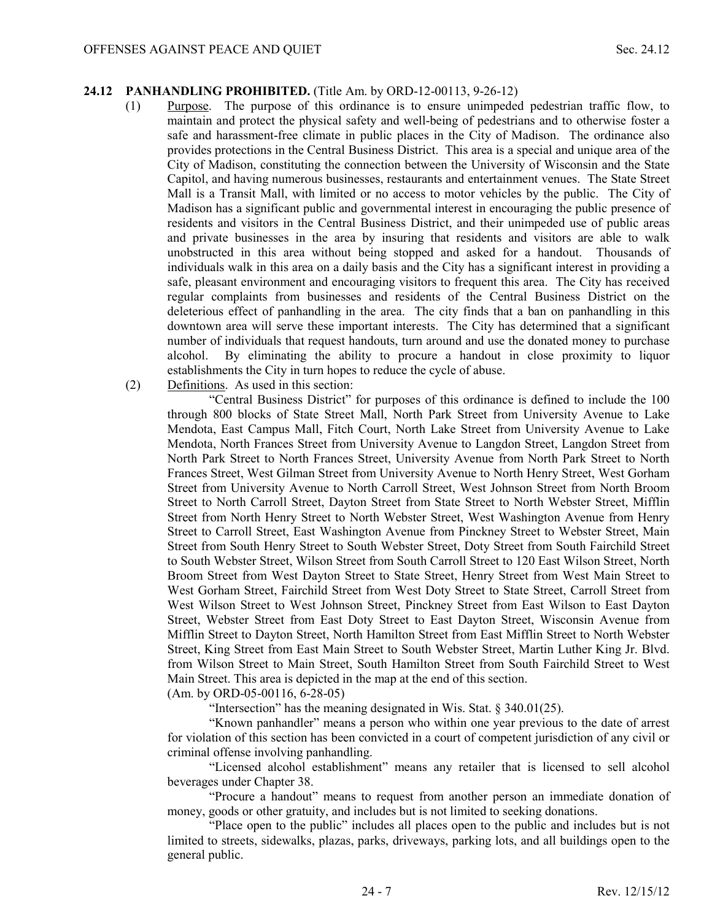#### **24.12 PANHANDLING PROHIBITED.** (Title Am. by ORD-12-00113, 9-26-12)

- (1) Purpose. The purpose of this ordinance is to ensure unimpeded pedestrian traffic flow, to maintain and protect the physical safety and well-being of pedestrians and to otherwise foster a safe and harassment-free climate in public places in the City of Madison. The ordinance also provides protections in the Central Business District. This area is a special and unique area of the City of Madison, constituting the connection between the University of Wisconsin and the State Capitol, and having numerous businesses, restaurants and entertainment venues. The State Street Mall is a Transit Mall, with limited or no access to motor vehicles by the public. The City of Madison has a significant public and governmental interest in encouraging the public presence of residents and visitors in the Central Business District, and their unimpeded use of public areas and private businesses in the area by insuring that residents and visitors are able to walk unobstructed in this area without being stopped and asked for a handout. Thousands of individuals walk in this area on a daily basis and the City has a significant interest in providing a safe, pleasant environment and encouraging visitors to frequent this area. The City has received regular complaints from businesses and residents of the Central Business District on the deleterious effect of panhandling in the area. The city finds that a ban on panhandling in this downtown area will serve these important interests. The City has determined that a significant number of individuals that request handouts, turn around and use the donated money to purchase alcohol. By eliminating the ability to procure a handout in close proximity to liquor establishments the City in turn hopes to reduce the cycle of abuse.
- (2) Definitions. As used in this section:

"Central Business District" for purposes of this ordinance is defined to include the 100 through 800 blocks of State Street Mall, North Park Street from University Avenue to Lake Mendota, East Campus Mall, Fitch Court, North Lake Street from University Avenue to Lake Mendota, North Frances Street from University Avenue to Langdon Street, Langdon Street from North Park Street to North Frances Street, University Avenue from North Park Street to North Frances Street, West Gilman Street from University Avenue to North Henry Street, West Gorham Street from University Avenue to North Carroll Street, West Johnson Street from North Broom Street to North Carroll Street, Dayton Street from State Street to North Webster Street, Mifflin Street from North Henry Street to North Webster Street, West Washington Avenue from Henry Street to Carroll Street, East Washington Avenue from Pinckney Street to Webster Street, Main Street from South Henry Street to South Webster Street, Doty Street from South Fairchild Street to South Webster Street, Wilson Street from South Carroll Street to 120 East Wilson Street, North Broom Street from West Dayton Street to State Street, Henry Street from West Main Street to West Gorham Street, Fairchild Street from West Doty Street to State Street, Carroll Street from West Wilson Street to West Johnson Street, Pinckney Street from East Wilson to East Dayton Street, Webster Street from East Doty Street to East Dayton Street, Wisconsin Avenue from Mifflin Street to Dayton Street, North Hamilton Street from East Mifflin Street to North Webster Street, King Street from East Main Street to South Webster Street, Martin Luther King Jr. Blvd. from Wilson Street to Main Street, South Hamilton Street from South Fairchild Street to West Main Street. This area is depicted in the map at the end of this section.

(Am. by ORD-05-00116, 6-28-05)

"Intersection" has the meaning designated in Wis. Stat. § 340.01(25).

 "Known panhandler" means a person who within one year previous to the date of arrest for violation of this section has been convicted in a court of competent jurisdiction of any civil or criminal offense involving panhandling.

"Licensed alcohol establishment" means any retailer that is licensed to sell alcohol beverages under Chapter 38.

"Procure a handout" means to request from another person an immediate donation of money, goods or other gratuity, and includes but is not limited to seeking donations.

"Place open to the public" includes all places open to the public and includes but is not limited to streets, sidewalks, plazas, parks, driveways, parking lots, and all buildings open to the general public.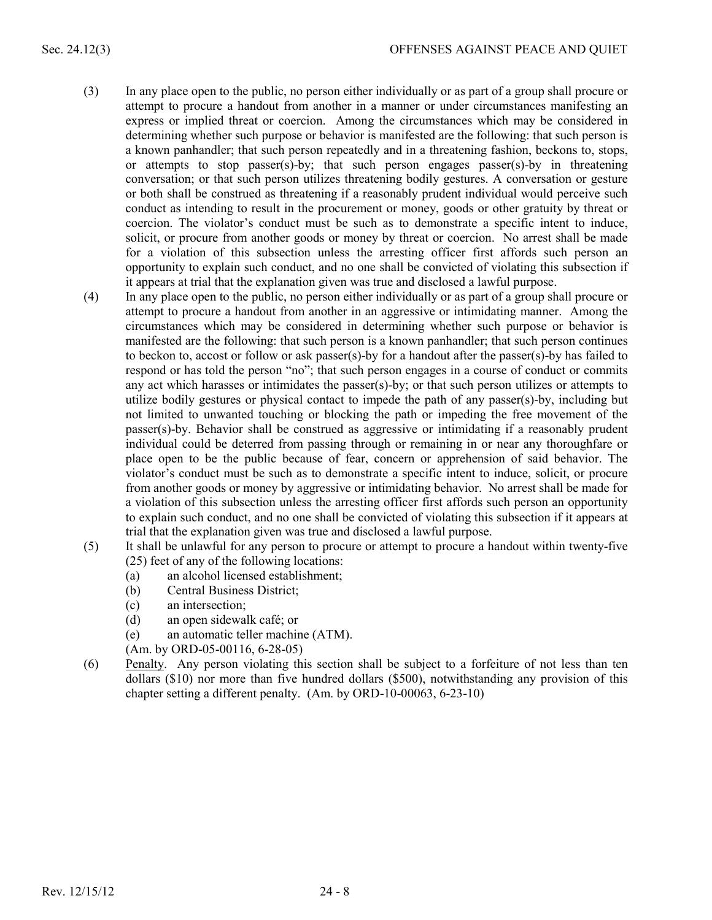- (3) In any place open to the public, no person either individually or as part of a group shall procure or attempt to procure a handout from another in a manner or under circumstances manifesting an express or implied threat or coercion. Among the circumstances which may be considered in determining whether such purpose or behavior is manifested are the following: that such person is a known panhandler; that such person repeatedly and in a threatening fashion, beckons to, stops, or attempts to stop passer(s)-by; that such person engages passer(s)-by in threatening conversation; or that such person utilizes threatening bodily gestures. A conversation or gesture or both shall be construed as threatening if a reasonably prudent individual would perceive such conduct as intending to result in the procurement or money, goods or other gratuity by threat or coercion. The violator's conduct must be such as to demonstrate a specific intent to induce, solicit, or procure from another goods or money by threat or coercion. No arrest shall be made for a violation of this subsection unless the arresting officer first affords such person an opportunity to explain such conduct, and no one shall be convicted of violating this subsection if it appears at trial that the explanation given was true and disclosed a lawful purpose.
- (4) In any place open to the public, no person either individually or as part of a group shall procure or attempt to procure a handout from another in an aggressive or intimidating manner. Among the circumstances which may be considered in determining whether such purpose or behavior is manifested are the following: that such person is a known panhandler; that such person continues to beckon to, accost or follow or ask passer(s)-by for a handout after the passer(s)-by has failed to respond or has told the person "no"; that such person engages in a course of conduct or commits any act which harasses or intimidates the passer(s)-by; or that such person utilizes or attempts to utilize bodily gestures or physical contact to impede the path of any passer(s)-by, including but not limited to unwanted touching or blocking the path or impeding the free movement of the passer(s)-by. Behavior shall be construed as aggressive or intimidating if a reasonably prudent individual could be deterred from passing through or remaining in or near any thoroughfare or place open to be the public because of fear, concern or apprehension of said behavior. The violator's conduct must be such as to demonstrate a specific intent to induce, solicit, or procure from another goods or money by aggressive or intimidating behavior. No arrest shall be made for a violation of this subsection unless the arresting officer first affords such person an opportunity to explain such conduct, and no one shall be convicted of violating this subsection if it appears at trial that the explanation given was true and disclosed a lawful purpose.
- (5) It shall be unlawful for any person to procure or attempt to procure a handout within twenty-five (25) feet of any of the following locations:
	- (a) an alcohol licensed establishment;
	- (b) Central Business District;
	- (c) an intersection;
	- (d) an open sidewalk café; or
	- (e) an automatic teller machine (ATM).
	- (Am. by ORD-05-00116, 6-28-05)
- (6) Penalty. Any person violating this section shall be subject to a forfeiture of not less than ten dollars (\$10) nor more than five hundred dollars (\$500), notwithstanding any provision of this chapter setting a different penalty. (Am. by ORD-10-00063, 6-23-10)